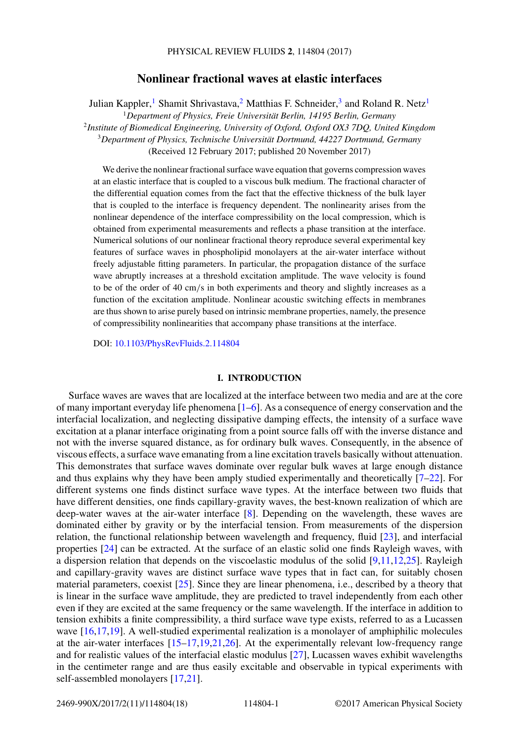# **Nonlinear fractional waves at elastic interfaces**

Julian Kappler,<sup>1</sup> Shamit Shrivastava,<sup>2</sup> Matthias F. Schneider,<sup>3</sup> and Roland R. Netz<sup>1</sup> <sup>1</sup>*Department of Physics, Freie Universität Berlin, 14195 Berlin, Germany* <sup>2</sup>*Institute of Biomedical Engineering, University of Oxford, Oxford OX3 7DQ, United Kingdom* <sup>3</sup>*Department of Physics, Technische Universität Dortmund, 44227 Dortmund, Germany* (Received 12 February 2017; published 20 November 2017)

We derive the nonlinear fractional surface wave equation that governs compression waves at an elastic interface that is coupled to a viscous bulk medium. The fractional character of the differential equation comes from the fact that the effective thickness of the bulk layer that is coupled to the interface is frequency dependent. The nonlinearity arises from the nonlinear dependence of the interface compressibility on the local compression, which is obtained from experimental measurements and reflects a phase transition at the interface. Numerical solutions of our nonlinear fractional theory reproduce several experimental key features of surface waves in phospholipid monolayers at the air-water interface without freely adjustable fitting parameters. In particular, the propagation distance of the surface wave abruptly increases at a threshold excitation amplitude. The wave velocity is found to be of the order of 40 cm*/*s in both experiments and theory and slightly increases as a function of the excitation amplitude. Nonlinear acoustic switching effects in membranes are thus shown to arise purely based on intrinsic membrane properties, namely, the presence of compressibility nonlinearities that accompany phase transitions at the interface.

DOI: [10.1103/PhysRevFluids.2.114804](https://doi.org/10.1103/PhysRevFluids.2.114804)

# **I. INTRODUCTION**

Surface waves are waves that are localized at the interface between two media and are at the core of many important everyday life phenomena [\[1–6\]](#page-15-0). As a consequence of energy conservation and the interfacial localization, and neglecting dissipative damping effects, the intensity of a surface wave excitation at a planar interface originating from a point source falls off with the inverse distance and not with the inverse squared distance, as for ordinary bulk waves. Consequently, in the absence of viscous effects, a surface wave emanating from a line excitation travels basically without attenuation. This demonstrates that surface waves dominate over regular bulk waves at large enough distance and thus explains why they have been amply studied experimentally and theoretically  $[7-22]$ . For different systems one finds distinct surface wave types. At the interface between two fluids that have different densities, one finds capillary-gravity waves, the best-known realization of which are deep-water waves at the air-water interface [\[8\]](#page-15-0). Depending on the wavelength, these waves are dominated either by gravity or by the interfacial tension. From measurements of the dispersion relation, the functional relationship between wavelength and frequency, fluid [\[23\]](#page-15-0), and interfacial properties [\[24\]](#page-15-0) can be extracted. At the surface of an elastic solid one finds Rayleigh waves, with a dispersion relation that depends on the viscoelastic modulus of the solid  $[9,11,12,25]$ . Rayleigh and capillary-gravity waves are distinct surface wave types that in fact can, for suitably chosen material parameters, coexist [\[25\]](#page-15-0). Since they are linear phenomena, i.e., described by a theory that is linear in the surface wave amplitude, they are predicted to travel independently from each other even if they are excited at the same frequency or the same wavelength. If the interface in addition to tension exhibits a finite compressibility, a third surface wave type exists, referred to as a Lucassen wave [\[16,17,19\]](#page-15-0). A well-studied experimental realization is a monolayer of amphiphilic molecules at the air-water interfaces [\[15–17,19,21,26\]](#page-15-0). At the experimentally relevant low-frequency range and for realistic values of the interfacial elastic modulus [\[27\]](#page-15-0), Lucassen waves exhibit wavelengths in the centimeter range and are thus easily excitable and observable in typical experiments with self-assembled monolayers [\[17,21\]](#page-15-0).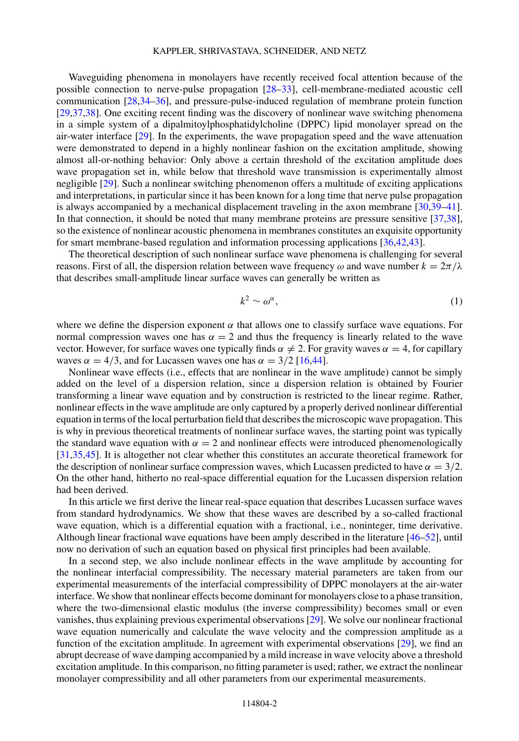# KAPPLER, SHRIVASTAVA, SCHNEIDER, AND NETZ

Waveguiding phenomena in monolayers have recently received focal attention because of the possible connection to nerve-pulse propagation [\[28](#page-15-0)[–33\]](#page-16-0), cell-membrane-mediated acoustic cell communication [\[28](#page-15-0)[,34–36\]](#page-16-0), and pressure-pulse-induced regulation of membrane protein function [\[29,](#page-15-0)[37,38\]](#page-16-0). One exciting recent finding was the discovery of nonlinear wave switching phenomena in a simple system of a dipalmitoylphosphatidylcholine (DPPC) lipid monolayer spread on the air-water interface [\[29\]](#page-15-0). In the experiments, the wave propagation speed and the wave attenuation were demonstrated to depend in a highly nonlinear fashion on the excitation amplitude, showing almost all-or-nothing behavior: Only above a certain threshold of the excitation amplitude does wave propagation set in, while below that threshold wave transmission is experimentally almost negligible [\[29\]](#page-15-0). Such a nonlinear switching phenomenon offers a multitude of exciting applications and interpretations, in particular since it has been known for a long time that nerve pulse propagation is always accompanied by a mechanical displacement traveling in the axon membrane [\[30,](#page-15-0)[39–41\]](#page-16-0). In that connection, it should be noted that many membrane proteins are pressure sensitive [\[37,38\]](#page-16-0), so the existence of nonlinear acoustic phenomena in membranes constitutes an exquisite opportunity for smart membrane-based regulation and information processing applications [\[36,42,43\]](#page-16-0).

The theoretical description of such nonlinear surface wave phenomena is challenging for several reasons. First of all, the dispersion relation between wave frequency  $\omega$  and wave number  $k = 2\pi/\lambda$ that describes small-amplitude linear surface waves can generally be written as

$$
k^2 \sim \omega^\alpha,\tag{1}
$$

where we define the dispersion exponent  $\alpha$  that allows one to classify surface wave equations. For normal compression waves one has  $\alpha = 2$  and thus the frequency is linearly related to the wave vector. However, for surface waves one typically finds  $\alpha \neq 2$ . For gravity waves  $\alpha = 4$ , for capillary waves  $\alpha = 4/3$ , and for Lucassen waves one has  $\alpha = 3/2$  [\[16,](#page-15-0)[44\]](#page-16-0).

Nonlinear wave effects (i.e., effects that are nonlinear in the wave amplitude) cannot be simply added on the level of a dispersion relation, since a dispersion relation is obtained by Fourier transforming a linear wave equation and by construction is restricted to the linear regime. Rather, nonlinear effects in the wave amplitude are only captured by a properly derived nonlinear differential equation in terms of the local perturbation field that describes the microscopic wave propagation. This is why in previous theoretical treatments of nonlinear surface waves, the starting point was typically the standard wave equation with  $\alpha = 2$  and nonlinear effects were introduced phenomenologically [\[31,](#page-15-0)[35,45\]](#page-16-0). It is altogether not clear whether this constitutes an accurate theoretical framework for the description of nonlinear surface compression waves, which Lucassen predicted to have  $\alpha = 3/2$ . On the other hand, hitherto no real-space differential equation for the Lucassen dispersion relation had been derived.

In this article we first derive the linear real-space equation that describes Lucassen surface waves from standard hydrodynamics. We show that these waves are described by a so-called fractional wave equation, which is a differential equation with a fractional, i.e., noninteger, time derivative. Although linear fractional wave equations have been amply described in the literature [\[46–52\]](#page-16-0), until now no derivation of such an equation based on physical first principles had been available.

In a second step, we also include nonlinear effects in the wave amplitude by accounting for the nonlinear interfacial compressibility. The necessary material parameters are taken from our experimental measurements of the interfacial compressibility of DPPC monolayers at the air-water interface. We show that nonlinear effects become dominant for monolayers close to a phase transition, where the two-dimensional elastic modulus (the inverse compressibility) becomes small or even vanishes, thus explaining previous experimental observations [\[29\]](#page-15-0). We solve our nonlinear fractional wave equation numerically and calculate the wave velocity and the compression amplitude as a function of the excitation amplitude. In agreement with experimental observations [\[29\]](#page-15-0), we find an abrupt decrease of wave damping accompanied by a mild increase in wave velocity above a threshold excitation amplitude. In this comparison, no fitting parameter is used; rather, we extract the nonlinear monolayer compressibility and all other parameters from our experimental measurements.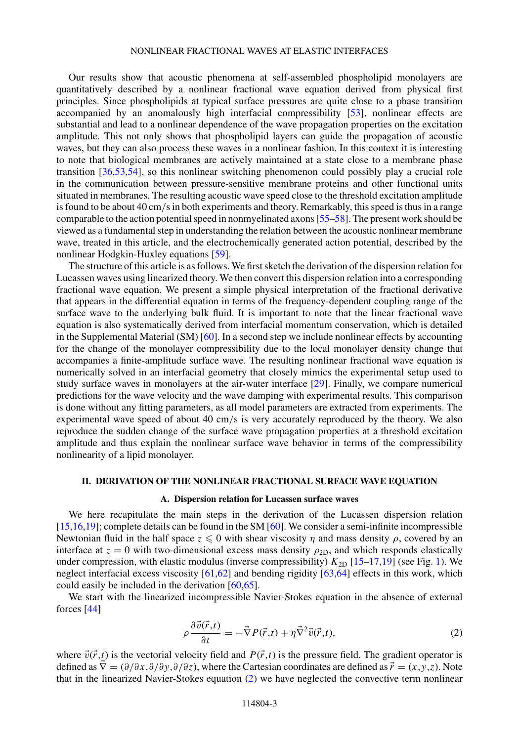<span id="page-2-0"></span>Our results show that acoustic phenomena at self-assembled phospholipid monolayers are quantitatively described by a nonlinear fractional wave equation derived from physical first principles. Since phospholipids at typical surface pressures are quite close to a phase transition accompanied by an anomalously high interfacial compressibility [\[53\]](#page-16-0), nonlinear effects are substantial and lead to a nonlinear dependence of the wave propagation properties on the excitation amplitude. This not only shows that phospholipid layers can guide the propagation of acoustic waves, but they can also process these waves in a nonlinear fashion. In this context it is interesting to note that biological membranes are actively maintained at a state close to a membrane phase transition [\[36,53,54\]](#page-16-0), so this nonlinear switching phenomenon could possibly play a crucial role in the communication between pressure-sensitive membrane proteins and other functional units situated in membranes. The resulting acoustic wave speed close to the threshold excitation amplitude is found to be about 40 cm*/*s in both experiments and theory. Remarkably, this speed is thus in a range comparable to the action potential speed in nonmyelinated axons [\[55](#page-16-0)[–58\]](#page-17-0). The present work should be viewed as a fundamental step in understanding the relation between the acoustic nonlinear membrane wave, treated in this article, and the electrochemically generated action potential, described by the nonlinear Hodgkin-Huxley equations [\[59\]](#page-17-0).

The structure of this article is as follows. We first sketch the derivation of the dispersion relation for Lucassen waves using linearized theory. We then convert this dispersion relation into a corresponding fractional wave equation. We present a simple physical interpretation of the fractional derivative that appears in the differential equation in terms of the frequency-dependent coupling range of the surface wave to the underlying bulk fluid. It is important to note that the linear fractional wave equation is also systematically derived from interfacial momentum conservation, which is detailed in the Supplemental Material (SM) [\[60\]](#page-17-0). In a second step we include nonlinear effects by accounting for the change of the monolayer compressibility due to the local monolayer density change that accompanies a finite-amplitude surface wave. The resulting nonlinear fractional wave equation is numerically solved in an interfacial geometry that closely mimics the experimental setup used to study surface waves in monolayers at the air-water interface [\[29\]](#page-15-0). Finally, we compare numerical predictions for the wave velocity and the wave damping with experimental results. This comparison is done without any fitting parameters, as all model parameters are extracted from experiments. The experimental wave speed of about 40 cm*/*s is very accurately reproduced by the theory. We also reproduce the sudden change of the surface wave propagation properties at a threshold excitation amplitude and thus explain the nonlinear surface wave behavior in terms of the compressibility nonlinearity of a lipid monolayer.

#### **II. DERIVATION OF THE NONLINEAR FRACTIONAL SURFACE WAVE EQUATION**

### **A. Dispersion relation for Lucassen surface waves**

We here recapitulate the main steps in the derivation of the Lucassen dispersion relation [\[15,16,19\]](#page-15-0); complete details can be found in the SM [\[60\]](#page-17-0). We consider a semi-infinite incompressible Newtonian fluid in the half space  $z \leq 0$  with shear viscosity  $\eta$  and mass density  $\rho$ , covered by an interface at  $z = 0$  with two-dimensional excess mass density  $\rho_{2D}$ , and which responds elastically under compression, with elastic modulus (inverse compressibility)  $K_{2D}$  [\[15–17,19\]](#page-15-0) (see Fig. [1\)](#page-3-0). We neglect interfacial excess viscosity [\[61,62\]](#page-17-0) and bending rigidity [\[63,64\]](#page-17-0) effects in this work, which could easily be included in the derivation [\[60,65\]](#page-17-0).

We start with the linearized incompressible Navier-Stokes equation in the absence of external forces [\[44\]](#page-16-0)

$$
\rho \frac{\partial \vec{v}(\vec{r},t)}{\partial t} = -\vec{\nabla} P(\vec{r},t) + \eta \vec{\nabla}^2 \vec{v}(\vec{r},t), \tag{2}
$$

where  $\vec{v}(\vec{r},t)$  is the vectorial velocity field and  $P(\vec{r},t)$  is the pressure field. The gradient operator is defined as  $\overline{V} = (\partial/\partial x, \partial/\partial y, \partial/\partial z)$ , where the Cartesian coordinates are defined as  $\overrightarrow{r} = (x, y, z)$ . Note that in the linearized Navier-Stokes equation (2) we have neglected the convective term nonlinear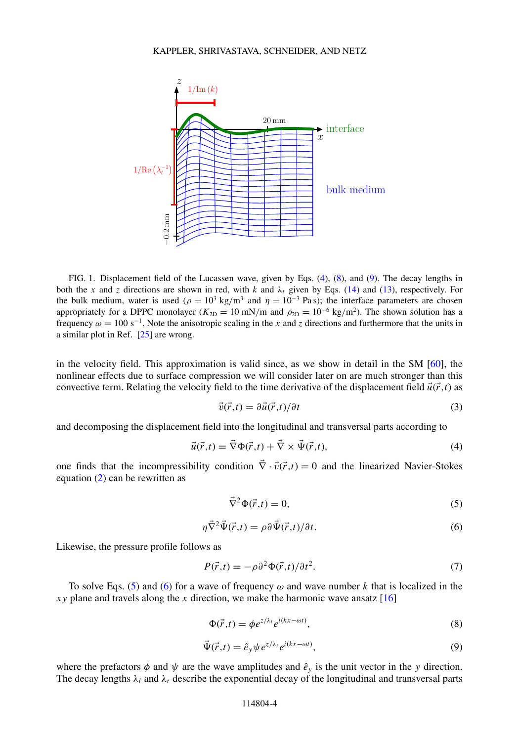<span id="page-3-0"></span>

FIG. 1. Displacement field of the Lucassen wave, given by Eqs. (4), (8), and (9). The decay lengths in both the *x* and *z* directions are shown in red, with *k* and  $\lambda_t$  given by Eqs. [\(14\)](#page-4-0) and [\(13\)](#page-4-0), respectively. For the bulk medium, water is used ( $\rho = 10^3$  kg/m<sup>3</sup> and  $\eta = 10^{-3}$  Pa s); the interface parameters are chosen appropriately for a DPPC monolayer ( $K_{2D} = 10$  mN/m and  $\rho_{2D} = 10^{-6}$  kg/m<sup>2</sup>). The shown solution has a frequency  $\omega = 100 \text{ s}^{-1}$ . Note the anisotropic scaling in the *x* and *z* directions and furthermore that the units in a similar plot in Ref. [\[25\]](#page-15-0) are wrong.

in the velocity field. This approximation is valid since, as we show in detail in the SM [\[60\]](#page-17-0), the nonlinear effects due to surface compression we will consider later on are much stronger than this convective term. Relating the velocity field to the time derivative of the displacement field  $\vec{u}(\vec{r},t)$  as

$$
\vec{v}(\vec{r},t) = \partial \vec{u}(\vec{r},t)/\partial t \tag{3}
$$

and decomposing the displacement field into the longitudinal and transversal parts according to

$$
\vec{u}(\vec{r},t) = \vec{\nabla}\Phi(\vec{r},t) + \vec{\nabla}\times\vec{\Psi}(\vec{r},t),\tag{4}
$$

one finds that the incompressibility condition  $\vec{\nabla} \cdot \vec{v}(\vec{r},t) = 0$  and the linearized Navier-Stokes equation [\(2\)](#page-2-0) can be rewritten as

$$
\vec{\nabla}^2 \Phi(\vec{r}, t) = 0,\tag{5}
$$

$$
\eta \vec{\nabla}^2 \vec{\Psi}(\vec{r}, t) = \rho \partial \vec{\Psi}(\vec{r}, t) / \partial t.
$$
\n(6)

Likewise, the pressure profile follows as

$$
P(\vec{r},t) = -\rho \partial^2 \Phi(\vec{r},t)/\partial t^2.
$$
 (7)

To solve Eqs. (5) and (6) for a wave of frequency  $\omega$  and wave number k that is localized in the *xy* plane and travels along the *x* direction, we make the harmonic wave ansatz  $[16]$ 

$$
\Phi(\vec{r},t) = \phi e^{z/\lambda_t} e^{i(kx - \omega t)},\tag{8}
$$

$$
\vec{\Psi}(\vec{r},t) = \hat{e}_y \psi e^{z/\lambda_t} e^{i(kx - \omega t)},\tag{9}
$$

where the prefactors  $\phi$  and  $\psi$  are the wave amplitudes and  $\hat{e}_y$  is the unit vector in the *y* direction. The decay lengths  $\lambda_l$  and  $\lambda_t$  describe the exponential decay of the longitudinal and transversal parts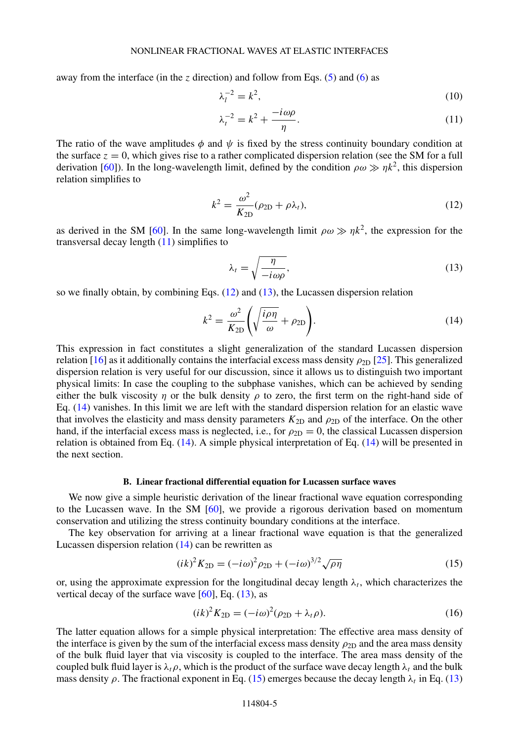<span id="page-4-0"></span>away from the interface (in the *z* direction) and follow from Eqs. [\(5\)](#page-3-0) and [\(6\)](#page-3-0) as

$$
\lambda_l^{-2} = k^2,\tag{10}
$$

$$
\lambda_t^{-2} = k^2 + \frac{-i\omega\rho}{\eta}.\tag{11}
$$

The ratio of the wave amplitudes  $\phi$  and  $\psi$  is fixed by the stress continuity boundary condition at the surface  $z = 0$ , which gives rise to a rather complicated dispersion relation (see the SM for a full derivation [\[60\]](#page-17-0)). In the long-wavelength limit, defined by the condition  $\rho \omega \gg \eta k^2$ , this dispersion relation simplifies to

$$
k^2 = \frac{\omega^2}{K_{2D}} (\rho_{2D} + \rho \lambda_t), \qquad (12)
$$

as derived in the SM [\[60\]](#page-17-0). In the same long-wavelength limit  $\rho \omega \gg \eta k^2$ , the expression for the transversal decay length  $(11)$  simplifies to

$$
\lambda_t = \sqrt{\frac{\eta}{-i\omega\rho}},\tag{13}
$$

so we finally obtain, by combining Eqs.  $(12)$  and  $(13)$ , the Lucassen dispersion relation

$$
k^2 = \frac{\omega^2}{K_{2\text{D}}} \left( \sqrt{\frac{i\rho\eta}{\omega}} + \rho_{2\text{D}} \right). \tag{14}
$$

This expression in fact constitutes a slight generalization of the standard Lucassen dispersion relation [\[16\]](#page-15-0) as it additionally contains the interfacial excess mass density  $\rho_{2D}$  [\[25\]](#page-15-0). This generalized dispersion relation is very useful for our discussion, since it allows us to distinguish two important physical limits: In case the coupling to the subphase vanishes, which can be achieved by sending either the bulk viscosity *η* or the bulk density  $\rho$  to zero, the first term on the right-hand side of Eq. (14) vanishes. In this limit we are left with the standard dispersion relation for an elastic wave that involves the elasticity and mass density parameters  $K_{2D}$  and  $\rho_{2D}$  of the interface. On the other hand, if the interfacial excess mass is neglected, i.e., for  $\rho_{2D} = 0$ , the classical Lucassen dispersion relation is obtained from Eq. (14). A simple physical interpretation of Eq. (14) will be presented in the next section.

#### **B. Linear fractional differential equation for Lucassen surface waves**

We now give a simple heuristic derivation of the linear fractional wave equation corresponding to the Lucassen wave. In the SM [\[60\]](#page-17-0), we provide a rigorous derivation based on momentum conservation and utilizing the stress continuity boundary conditions at the interface.

The key observation for arriving at a linear fractional wave equation is that the generalized Lucassen dispersion relation (14) can be rewritten as

$$
(ik)^{2}K_{2D} = (-i\omega)^{2}\rho_{2D} + (-i\omega)^{3/2}\sqrt{\rho\eta}
$$
\n(15)

or, using the approximate expression for the longitudinal decay length  $\lambda_t$ , which characterizes the vertical decay of the surface wave  $[60]$ , Eq.  $(13)$ , as

$$
(ik)^{2}K_{2D} = (-i\omega)^{2}(\rho_{2D} + \lambda_{t}\rho).
$$
\n(16)

The latter equation allows for a simple physical interpretation: The effective area mass density of the interface is given by the sum of the interfacial excess mass density  $\rho_{2D}$  and the area mass density of the bulk fluid layer that via viscosity is coupled to the interface. The area mass density of the coupled bulk fluid layer is  $\lambda_t \rho$ , which is the product of the surface wave decay length  $\lambda_t$  and the bulk mass density  $\rho$ . The fractional exponent in Eq. (15) emerges because the decay length  $\lambda_t$  in Eq. (13)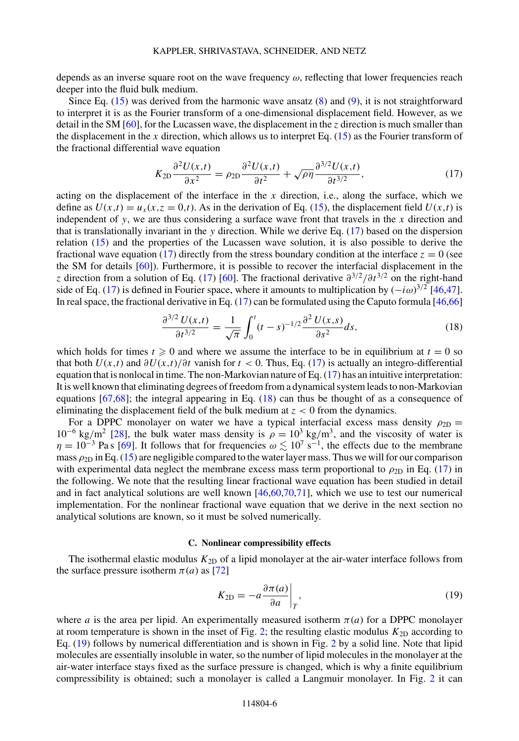<span id="page-5-0"></span>depends as an inverse square root on the wave frequency *ω*, reflecting that lower frequencies reach deeper into the fluid bulk medium.

Since Eq.  $(15)$  was derived from the harmonic wave ansatz  $(8)$  and  $(9)$ , it is not straightforward to interpret it is as the Fourier transform of a one-dimensional displacement field. However, as we detail in the SM [\[60\]](#page-17-0), for the Lucassen wave, the displacement in the *z* direction is much smaller than the displacement in the *x* direction, which allows us to interpret Eq. [\(15\)](#page-4-0) as the Fourier transform of the fractional differential wave equation

$$
K_{2D}\frac{\partial^2 U(x,t)}{\partial x^2} = \rho_{2D}\frac{\partial^2 U(x,t)}{\partial t^2} + \sqrt{\rho \eta} \frac{\partial^{3/2} U(x,t)}{\partial t^{3/2}},\tag{17}
$$

acting on the displacement of the interface in the *x* direction, i.e., along the surface, which we define as  $U(x,t) = u_x(x, z = 0,t)$ . As in the derivation of Eq. [\(15\)](#page-4-0), the displacement field  $U(x,t)$  is independent of *y*, we are thus considering a surface wave front that travels in the *x* direction and that is translationally invariant in the *y* direction. While we derive Eq. (17) based on the dispersion relation [\(15\)](#page-4-0) and the properties of the Lucassen wave solution, it is also possible to derive the fractional wave equation (17) directly from the stress boundary condition at the interface  $z = 0$  (see the SM for details [\[60\]](#page-17-0)). Furthermore, it is possible to recover the interfacial displacement in the *z* direction from a solution of Eq. (17) [\[60\]](#page-17-0). The fractional derivative *∂*3*/*2*/∂t* <sup>3</sup>*/*<sup>2</sup> on the right-hand side of Eq. (17) is defined in Fourier space, where it amounts to multiplication by  $(-i\omega)^{3/2}$  [\[46,47\]](#page-16-0). In real space, the fractional derivative in Eq.  $(17)$  can be formulated using the Caputo formula [\[46](#page-16-0)[,66\]](#page-17-0)

$$
\frac{\partial^{3/2} U(x,t)}{\partial t^{3/2}} = \frac{1}{\sqrt{\pi}} \int_0^t (t-s)^{-1/2} \frac{\partial^2 U(x,s)}{\partial s^2} ds,
$$
\n(18)

which holds for times  $t \ge 0$  and where we assume the interface to be in equilibrium at  $t = 0$  so that both  $U(x,t)$  and  $\partial U(x,t)/\partial t$  vanish for  $t < 0$ . Thus, Eq. (17) is actually an integro-differential equation that is nonlocal in time. The non-Markovian nature of Eq.  $(17)$  has an intuitive interpretation: It is well known that eliminating degrees of freedom from a dynamical system leads to non-Markovian equations  $[67,68]$ ; the integral appearing in Eq.  $(18)$  can thus be thought of as a consequence of eliminating the displacement field of the bulk medium at *z <* 0 from the dynamics.

For a DPPC monolayer on water we have a typical interfacial excess mass density  $\rho_{2D}$  =  $10^{-6}$  kg/m<sup>2</sup> [\[28\]](#page-15-0), the bulk water mass density is  $\rho = 10^3$  kg/m<sup>3</sup>, and the viscosity of water is  $\eta = 10^{-3}$  Pa s [\[69\]](#page-17-0). It follows that for frequencies  $\omega \lesssim 10^7$  s<sup>-1</sup>, the effects due to the membrane mass  $\rho_{2D}$  in Eq. [\(15\)](#page-4-0) are negligible compared to the water layer mass. Thus we will for our comparison with experimental data neglect the membrane excess mass term proportional to  $\rho_{2D}$  in Eq. (17) in the following. We note that the resulting linear fractional wave equation has been studied in detail and in fact analytical solutions are well known [\[46,](#page-16-0)[60,70,71\]](#page-17-0), which we use to test our numerical implementation. For the nonlinear fractional wave equation that we derive in the next section no analytical solutions are known, so it must be solved numerically.

#### **C. Nonlinear compressibility effects**

The isothermal elastic modulus  $K_{2D}$  of a lipid monolayer at the air-water interface follows from the surface pressure isotherm  $\pi(a)$  as [\[72\]](#page-17-0)

$$
K_{2D} = -a \frac{\partial \pi(a)}{\partial a} \bigg|_{T},\tag{19}
$$

where *a* is the area per lipid. An experimentally measured isotherm  $\pi(a)$  for a DPPC monolayer at room temperature is shown in the inset of Fig. [2;](#page-6-0) the resulting elastic modulus  $K_{2D}$  according to Eq. (19) follows by numerical differentiation and is shown in Fig. [2](#page-6-0) by a solid line. Note that lipid molecules are essentially insoluble in water, so the number of lipid molecules in the monolayer at the air-water interface stays fixed as the surface pressure is changed, which is why a finite equilibrium compressibility is obtained; such a monolayer is called a Langmuir monolayer. In Fig. [2](#page-6-0) it can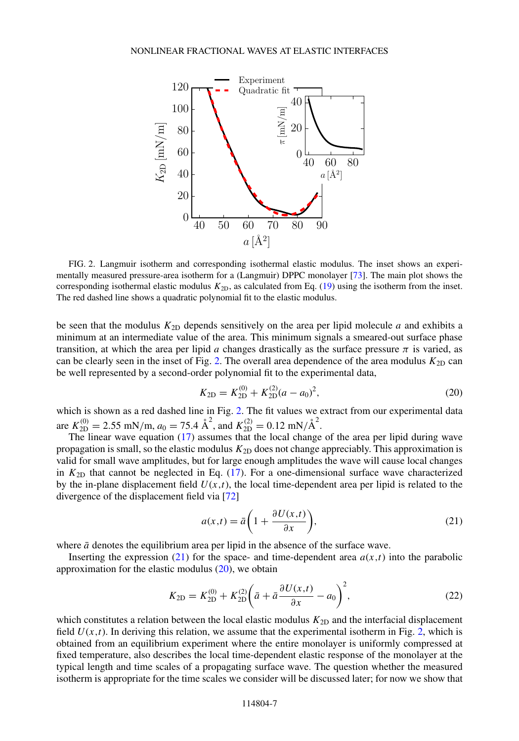<span id="page-6-0"></span>

FIG. 2. Langmuir isotherm and corresponding isothermal elastic modulus. The inset shows an experimentally measured pressure-area isotherm for a (Langmuir) DPPC monolayer [\[73\]](#page-17-0). The main plot shows the corresponding isothermal elastic modulus *K*2D, as calculated from Eq. [\(19\)](#page-5-0) using the isotherm from the inset. The red dashed line shows a quadratic polynomial fit to the elastic modulus.

be seen that the modulus *K*2D depends sensitively on the area per lipid molecule *a* and exhibits a minimum at an intermediate value of the area. This minimum signals a smeared-out surface phase transition, at which the area per lipid *a* changes drastically as the surface pressure  $\pi$  is varied, as can be clearly seen in the inset of Fig. 2. The overall area dependence of the area modulus  $K_{2D}$  can be well represented by a second-order polynomial fit to the experimental data,

$$
K_{2D} = K_{2D}^{(0)} + K_{2D}^{(2)}(a - a_0)^2,
$$
\n(20)

which is shown as a red dashed line in Fig. 2. The fit values we extract from our experimental data are  $K_{2D}^{(0)} = 2.55$  mN/m,  $a_0 = 75.4$   $\text{\AA}^2$ , and  $K_{2D}^{(2)} = 0.12$  mN/ $\text{\AA}^2$ .

The linear wave equation [\(17\)](#page-5-0) assumes that the local change of the area per lipid during wave propagation is small, so the elastic modulus  $K_{2D}$  does not change appreciably. This approximation is valid for small wave amplitudes, but for large enough amplitudes the wave will cause local changes in  $K_{2D}$  that cannot be neglected in Eq. [\(17\)](#page-5-0). For a one-dimensional surface wave characterized by the in-plane displacement field  $U(x,t)$ , the local time-dependent area per lipid is related to the divergence of the displacement field via [\[72\]](#page-17-0)

$$
a(x,t) = \bar{a}\left(1 + \frac{\partial U(x,t)}{\partial x}\right),\tag{21}
$$

where  $\bar{a}$  denotes the equilibrium area per lipid in the absence of the surface wave.

Inserting the expression  $(21)$  for the space- and time-dependent area  $a(x,t)$  into the parabolic approximation for the elastic modulus  $(20)$ , we obtain

$$
K_{2D} = K_{2D}^{(0)} + K_{2D}^{(2)} \left( \bar{a} + \bar{a} \frac{\partial U(x,t)}{\partial x} - a_0 \right)^2, \tag{22}
$$

which constitutes a relation between the local elastic modulus  $K_{2D}$  and the interfacial displacement field  $U(x,t)$ . In deriving this relation, we assume that the experimental isotherm in Fig. 2, which is obtained from an equilibrium experiment where the entire monolayer is uniformly compressed at fixed temperature, also describes the local time-dependent elastic response of the monolayer at the typical length and time scales of a propagating surface wave. The question whether the measured isotherm is appropriate for the time scales we consider will be discussed later; for now we show that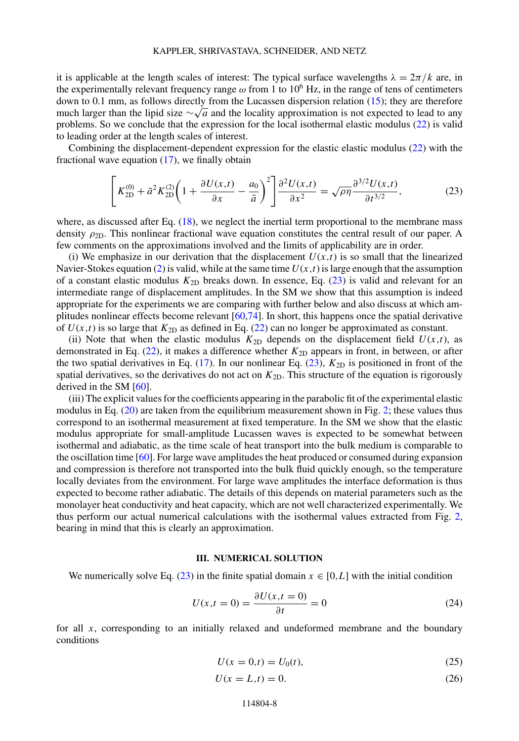<span id="page-7-0"></span>it is applicable at the length scales of interest: The typical surface wavelengths  $\lambda = 2\pi/k$  are, in the experimentally relevant frequency range  $\omega$  from 1 to 10<sup>6</sup> Hz, in the range of tens of centimeters down to 0.1 mm, as follows directly from the Lucassen dispersion relation [\(15\)](#page-4-0); they are therefore much larger than the lipid size ∼√*<sup>a</sup>* and the locality approximation is not expected to lead to any problems. So we conclude that the expression for the local isothermal elastic modulus [\(22\)](#page-6-0) is valid to leading order at the length scales of interest.

Combining the displacement-dependent expression for the elastic elastic modulus [\(22\)](#page-6-0) with the fractional wave equation  $(17)$ , we finally obtain

$$
\left[K_{2D}^{(0)} + \bar{a}^2 K_{2D}^{(2)} \left(1 + \frac{\partial U(x,t)}{\partial x} - \frac{a_0}{\bar{a}}\right)^2\right] \frac{\partial^2 U(x,t)}{\partial x^2} = \sqrt{\rho \eta} \frac{\partial^{3/2} U(x,t)}{\partial t^{3/2}},\tag{23}
$$

where, as discussed after Eq.  $(18)$ , we neglect the inertial term proportional to the membrane mass density  $\rho_{2D}$ . This nonlinear fractional wave equation constitutes the central result of our paper. A few comments on the approximations involved and the limits of applicability are in order.

(i) We emphasize in our derivation that the displacement  $U(x,t)$  is so small that the linearized Navier-Stokes equation [\(2\)](#page-2-0) is valid, while at the same time  $U(x,t)$  is large enough that the assumption of a constant elastic modulus  $K_{2D}$  breaks down. In essence, Eq. (23) is valid and relevant for an intermediate range of displacement amplitudes. In the SM we show that this assumption is indeed appropriate for the experiments we are comparing with further below and also discuss at which amplitudes nonlinear effects become relevant [\[60,74\]](#page-17-0). In short, this happens once the spatial derivative of  $U(x,t)$  is so large that  $K_{2D}$  as defined in Eq. [\(22\)](#page-6-0) can no longer be approximated as constant.

(ii) Note that when the elastic modulus  $K_{2D}$  depends on the displacement field  $U(x,t)$ , as demonstrated in Eq. [\(22\)](#page-6-0), it makes a difference whether  $K_{2D}$  appears in front, in between, or after the two spatial derivatives in Eq.  $(17)$ . In our nonlinear Eq.  $(23)$ ,  $K_{2D}$  is positioned in front of the spatial derivatives, so the derivatives do not act on  $K_{2D}$ . This structure of the equation is rigorously derived in the SM [\[60\]](#page-17-0).

(iii) The explicit values for the coefficients appearing in the parabolic fit of the experimental elastic modulus in Eq. [\(20\)](#page-6-0) are taken from the equilibrium measurement shown in Fig. [2;](#page-6-0) these values thus correspond to an isothermal measurement at fixed temperature. In the SM we show that the elastic modulus appropriate for small-amplitude Lucassen waves is expected to be somewhat between isothermal and adiabatic, as the time scale of heat transport into the bulk medium is comparable to the oscillation time [\[60\]](#page-17-0). For large wave amplitudes the heat produced or consumed during expansion and compression is therefore not transported into the bulk fluid quickly enough, so the temperature locally deviates from the environment. For large wave amplitudes the interface deformation is thus expected to become rather adiabatic. The details of this depends on material parameters such as the monolayer heat conductivity and heat capacity, which are not well characterized experimentally. We thus perform our actual numerical calculations with the isothermal values extracted from Fig. [2,](#page-6-0) bearing in mind that this is clearly an approximation.

### **III. NUMERICAL SOLUTION**

We numerically solve Eq. (23) in the finite spatial domain  $x \in [0, L]$  with the initial condition

$$
U(x,t=0) = \frac{\partial U(x,t=0)}{\partial t} = 0
$$
\n(24)

for all *x*, corresponding to an initially relaxed and undeformed membrane and the boundary conditions

$$
U(x = 0,t) = U_0(t),
$$
\n(25)

$$
U(x = L, t) = 0.\t(26)
$$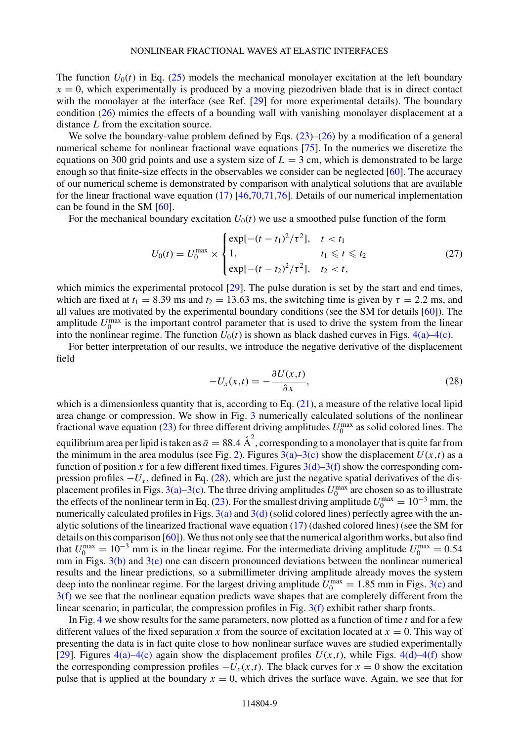<span id="page-8-0"></span>The function  $U_0(t)$  in Eq. [\(25\)](#page-7-0) models the mechanical monolayer excitation at the left boundary  $x = 0$ , which experimentally is produced by a moving piezodriven blade that is in direct contact with the monolayer at the interface (see Ref. [\[29\]](#page-15-0) for more experimental details). The boundary condition [\(26\)](#page-7-0) mimics the effects of a bounding wall with vanishing monolayer displacement at a distance *L* from the excitation source.

We solve the boundary-value problem defined by Eqs.  $(23)$ – $(26)$  by a modification of a general numerical scheme for nonlinear fractional wave equations [\[75\]](#page-17-0). In the numerics we discretize the equations on 300 grid points and use a system size of  $L = 3$  cm, which is demonstrated to be large enough so that finite-size effects in the observables we consider can be neglected [\[60\]](#page-17-0). The accuracy of our numerical scheme is demonstrated by comparison with analytical solutions that are available for the linear fractional wave equation  $(17)$  [\[46,](#page-16-0)[70,71,76\]](#page-17-0). Details of our numerical implementation can be found in the SM [\[60\]](#page-17-0).

For the mechanical boundary excitation  $U_0(t)$  we use a smoothed pulse function of the form

$$
U_0(t) = U_0^{\max} \times \begin{cases} \exp[-(t - t_1)^2/\tau^2], & t < t_1 \\ 1, & t_1 \le t \le t_2 \\ \exp[-(t - t_2)^2/\tau^2], & t_2 < t, \end{cases}
$$
(27)

which mimics the experimental protocol [\[29\]](#page-15-0). The pulse duration is set by the start and end times, which are fixed at  $t_1 = 8.39$  ms and  $t_2 = 13.63$  ms, the switching time is given by  $\tau = 2.2$  ms, and all values are motivated by the experimental boundary conditions (see the SM for details [\[60\]](#page-17-0)). The amplitude  $U_0^{\text{max}}$  is the important control parameter that is used to drive the system from the linear into the nonlinear regime. The function  $U_0(t)$  is shown as black dashed curves in Figs.  $4(a) - 4(c)$ .

For better interpretation of our results, we introduce the negative derivative of the displacement field

$$
-U_x(x,t) = -\frac{\partial U(x,t)}{\partial x},\tag{28}
$$

which is a dimensionless quantity that is, according to Eq. [\(21\)](#page-6-0), a measure of the relative local lipid area change or compression. We show in Fig. [3](#page-9-0) numerically calculated solutions of the nonlinear fractional wave equation [\(23\)](#page-7-0) for three different driving amplitudes  $U_0^{\text{max}}$  as solid colored lines. The equilibrium area per lipid is taken as  $\bar{a}=88.4\;\text{\AA}^2,$  corresponding to a monolayer that is quite far from the minimum in the area modulus (see Fig. [2\)](#page-6-0). Figures  $3(a)$ –3(c) show the displacement  $U(x,t)$  as a function of position x for a few different fixed times. Figures  $3(d)$ – $3(f)$  show the corresponding compression profiles  $-U_x$ , defined in Eq. (28), which are just the negative spatial derivatives of the displacement profiles in Figs.  $3(a)$ – $3(c)$ . The three driving amplitudes  $U_0^{\text{max}}$  are chosen so as to illustrate the effects of the nonlinear term in Eq. [\(23\)](#page-7-0). For the smallest driving amplitude  $U_0^{\text{max}} = 10^{-3}$  mm, the numerically calculated profiles in Figs.  $3(a)$  and  $3(d)$  (solid colored lines) perfectly agree with the analytic solutions of the linearized fractional wave equation [\(17\)](#page-5-0) (dashed colored lines) (see the SM for details on this comparison  $[60]$ ). We thus not only see that the numerical algorithm works, but also find that  $U_0^{\text{max}} = 10^{-3}$  mm is in the linear regime. For the intermediate driving amplitude  $U_0^{\text{max}} = 0.54$ mm in Figs.  $3(b)$  and  $3(e)$  one can discern pronounced deviations between the nonlinear numerical results and the linear predictions, so a submillimeter driving amplitude already moves the system deep into the nonlinear regime. For the largest driving amplitude  $U_0^{\text{max}} = 1.85$  mm in Figs. [3\(c\)](#page-9-0) and [3\(f\)](#page-9-0) we see that the nonlinear equation predicts wave shapes that are completely different from the linear scenario; in particular, the compression profiles in Fig. [3\(f\)](#page-9-0) exhibit rather sharp fronts.

In Fig. [4](#page-10-0) we show results for the same parameters, now plotted as a function of time *t* and for a few different values of the fixed separation *x* from the source of excitation located at  $x = 0$ . This way of presenting the data is in fact quite close to how nonlinear surface waves are studied experimentally [\[29\]](#page-15-0). Figures  $4(a) - 4(c)$  again show the displacement profiles  $U(x,t)$ , while Figs.  $4(d) - 4(f)$  show the corresponding compression profiles  $-U_x(x,t)$ . The black curves for  $x = 0$  show the excitation pulse that is applied at the boundary  $x = 0$ , which drives the surface wave. Again, we see that for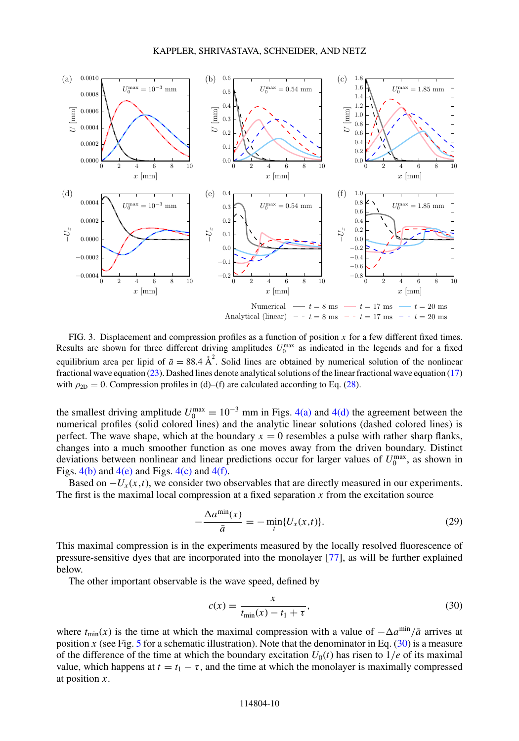<span id="page-9-0"></span>

FIG. 3. Displacement and compression profiles as a function of position *x* for a few different fixed times. Results are shown for three different driving amplitudes  $U_0^{\text{max}}$  as indicated in the legends and for a fixed equilibrium area per lipid of  $\bar{a} = 88.4 \text{ Å}^2$ . Solid lines are obtained by numerical solution of the nonlinear fractional wave equation [\(23\)](#page-7-0). Dashed lines denote analytical solutions of the linear fractional wave equation [\(17\)](#page-5-0) with  $\rho_{2D} = 0$ . Compression profiles in (d)–(f) are calculated according to Eq. [\(28\)](#page-8-0).

the smallest driving amplitude  $U_0^{\text{max}} = 10^{-3}$  mm in Figs. [4\(a\)](#page-10-0) and [4\(d\)](#page-10-0) the agreement between the numerical profiles (solid colored lines) and the analytic linear solutions (dashed colored lines) is perfect. The wave shape, which at the boundary  $x = 0$  resembles a pulse with rather sharp flanks, changes into a much smoother function as one moves away from the driven boundary. Distinct deviations between nonlinear and linear predictions occur for larger values of  $U_0^{\text{max}}$ , as shown in Figs.  $4(b)$  and  $4(e)$  and Figs.  $4(c)$  and  $4(f)$ .

Based on  $-U_x(x,t)$ , we consider two observables that are directly measured in our experiments. The first is the maximal local compression at a fixed separation *x* from the excitation source

$$
-\frac{\Delta a^{\min}(x)}{\bar{a}} = -\min_{t} \{U_x(x,t)\}.
$$
 (29)

This maximal compression is in the experiments measured by the locally resolved fluorescence of pressure-sensitive dyes that are incorporated into the monolayer [\[77\]](#page-17-0), as will be further explained below.

The other important observable is the wave speed, defined by

$$
c(x) = \frac{x}{t_{\min}(x) - t_1 + \tau},
$$
\n(30)

where  $t_{\text{min}}(x)$  is the time at which the maximal compression with a value of  $-\Delta a^{\text{min}}/\bar{a}$  arrives at position *x* (see Fig. [5](#page-11-0) for a schematic illustration). Note that the denominator in Eq. (30) is a measure of the difference of the time at which the boundary excitation  $U_0(t)$  has risen to  $1/e$  of its maximal value, which happens at  $t = t_1 - \tau$ , and the time at which the monolayer is maximally compressed at position *x*.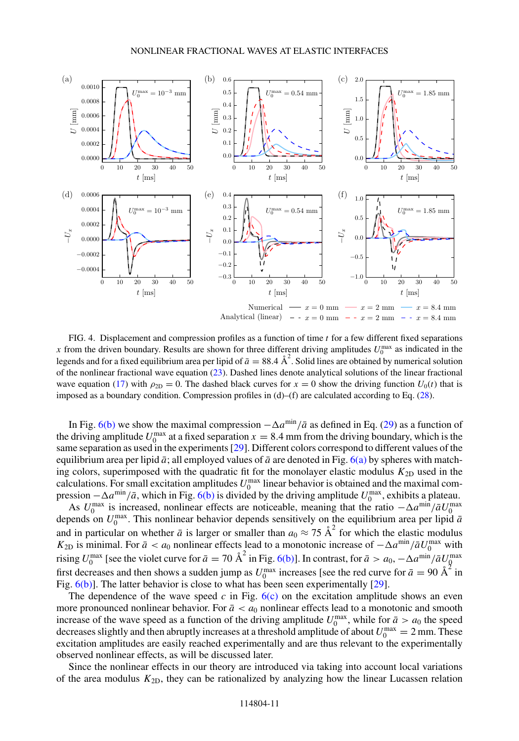<span id="page-10-0"></span>

FIG. 4. Displacement and compression profiles as a function of time *t* for a few different fixed separations x from the driven boundary. Results are shown for three different driving amplitudes  $U_0^{\text{max}}$  as indicated in the legends and for a fixed equilibrium area per lipid of  $\bar{a} = 88.4 \text{ Å}^2$ . Solid lines are obtained by numerical solution of the nonlinear fractional wave equation [\(23\)](#page-7-0). Dashed lines denote analytical solutions of the linear fractional wave equation [\(17\)](#page-5-0) with  $\rho_{2D} = 0$ . The dashed black curves for  $x = 0$  show the driving function  $U_0(t)$  that is imposed as a boundary condition. Compression profiles in (d)–(f) are calculated according to Eq. [\(28\)](#page-8-0).

In Fig. [6\(b\)](#page-11-0) we show the maximal compression  $-\Delta a^{\text{min}}/\bar{a}$  as defined in Eq. [\(29\)](#page-9-0) as a function of the driving amplitude  $U_0^{\text{max}}$  at a fixed separation  $x = 8.4$  mm from the driving boundary, which is the same separation as used in the experiments [\[29\]](#page-15-0). Different colors correspond to different values of the equilibrium area per lipid  $\bar{a}$ ; all employed values of  $\bar{a}$  are denoted in Fig. [6\(a\)](#page-11-0) by spheres with matching colors, superimposed with the quadratic fit for the monolayer elastic modulus  $K_{2D}$  used in the calculations. For small excitation amplitudes  $U_0^{\text{max}}$  linear behavior is obtained and the maximal compression  $-\Delta a^{\min}/\bar{a}$ , which in Fig. [6\(b\)](#page-11-0) is divided by the driving amplitude  $U_0^{\max}$ , exhibits a plateau.

As  $U_0^{\text{max}}$  is increased, nonlinear effects are noticeable, meaning that the ratio  $-\Delta a^{\text{min}}/\bar{a}U_0^{\text{max}}$ <br>depends on  $U_0^{\text{max}}$ . This nonlinear behavior depends sensitively on the equilibrium area per lipid  $\bar{a}$ and in particular on whether  $\bar{a}$  is larger or smaller than  $a_0 \approx 75 \text{ Å}^2$  for which the elastic modulus  $K_{2D}$  is minimal. For  $\bar{a} < a_0$  nonlinear effects lead to a monotonic increase of  $-\Delta a^{\min}/\bar{a}U_0^{\max}$  with rising  $U_0^{\max}$  [see the violet curve for  $\bar{a} = 70 \text{ Å}^2$  in Fig. [6\(b\)\]](#page-11-0). In contrast, for  $\bar{a} > a_0, -\Delta a^{\min}/\bar{a}U_0^{\max}$ first decreases and then shows a sudden jump as  $U_0^{\max}$  increases [see the red curve for  $\bar{a} = 90 \text{ Å}^2$  in Fig.  $6(b)$ ]. The latter behavior is close to what has been seen experimentally [\[29\]](#page-15-0).

The dependence of the wave speed  $c$  in Fig.  $6(c)$  on the excitation amplitude shows an even more pronounced nonlinear behavior. For  $\bar{a} < a_0$  nonlinear effects lead to a monotonic and smooth increase of the wave speed as a function of the driving amplitude  $U_0^{\text{max}}$ , while for  $\bar{a} > a_0$  the speed decreases slightly and then abruptly increases at a threshold amplitude of about  $U_0^{\text{max}} = 2 \text{ mm}$ . These excitation amplitudes are easily reached experimentally and are thus relevant to the experimentally observed nonlinear effects, as will be discussed later.

Since the nonlinear effects in our theory are introduced via taking into account local variations of the area modulus *K*2D, they can be rationalized by analyzing how the linear Lucassen relation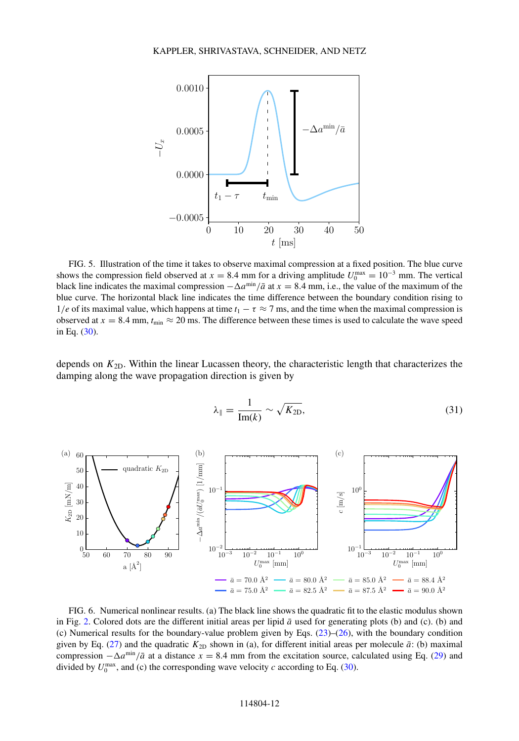<span id="page-11-0"></span>

FIG. 5. Illustration of the time it takes to observe maximal compression at a fixed position. The blue curve shows the compression field observed at  $x = 8.4$  mm for a driving amplitude  $U_0^{\text{max}} = 10^{-3}$  mm. The vertical black line indicates the maximal compression  $-\Delta a^{\min}/\bar{a}$  at  $x = 8.4$  mm, i.e., the value of the maximum of the blue curve. The horizontal black line indicates the time difference between the boundary condition rising to 1/e of its maximal value, which happens at time  $t_1 - \tau \approx 7$  ms, and the time when the maximal compression is observed at  $x = 8.4$  mm,  $t_{\text{min}} \approx 20$  ms. The difference between these times is used to calculate the wave speed in Eq. [\(30\)](#page-9-0).

depends on  $K_{2D}$ . Within the linear Lucassen theory, the characteristic length that characterizes the damping along the wave propagation direction is given by

$$
\lambda_{\parallel} = \frac{1}{\text{Im}(k)} \sim \sqrt{K_{2\text{D}}},\tag{31}
$$



FIG. 6. Numerical nonlinear results. (a) The black line shows the quadratic fit to the elastic modulus shown in Fig. [2.](#page-6-0) Colored dots are the different initial areas per lipid  $\bar{a}$  used for generating plots (b) and (c). (b) and (c) Numerical results for the boundary-value problem given by Eqs. [\(23\)](#page-7-0)–[\(26\)](#page-7-0), with the boundary condition given by Eq. [\(27\)](#page-8-0) and the quadratic  $K_{2D}$  shown in (a), for different initial areas per molecule  $\bar{a}$ : (b) maximal compression  $-\Delta a^{\text{min}}/\bar{a}$  at a distance  $x = 8.4$  mm from the excitation source, calculated using Eq. [\(29\)](#page-9-0) and divided by  $U_0^{\text{max}}$ , and (c) the corresponding wave velocity *c* according to Eq. [\(30\)](#page-9-0).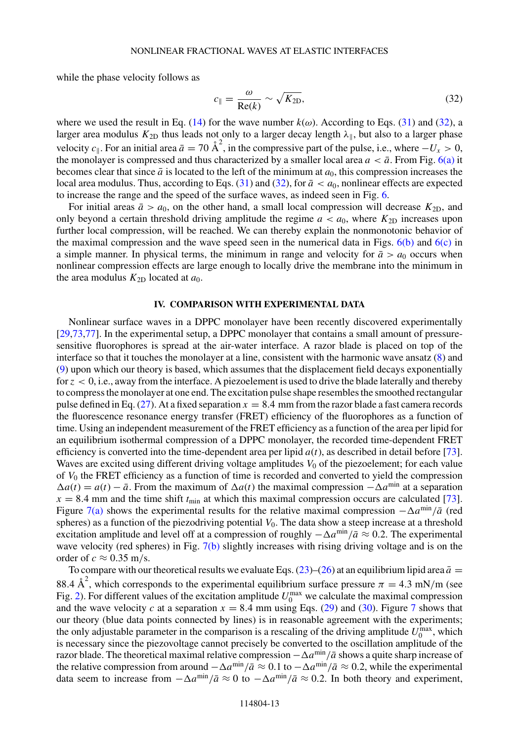while the phase velocity follows as

$$
c_{\parallel} = \frac{\omega}{\text{Re}(k)} \sim \sqrt{K_{2\text{D}}},\tag{32}
$$

where we used the result in Eq. [\(14\)](#page-4-0) for the wave number  $k(\omega)$ . According to Eqs. [\(31\)](#page-11-0) and (32), a larger area modulus  $K_{\text{2D}}$  thus leads not only to a larger decay length  $\lambda_{\parallel}$ , but also to a larger phase velocity *c*<sub>||</sub>. For an initial area  $\bar{a} = 70 \text{ Å}^2$ , in the compressive part of the pulse, i.e., where  $-V_x > 0$ , the monolayer is compressed and thus characterized by a smaller local area  $a < \bar{a}$ . From Fig. [6\(a\)](#page-11-0) it becomes clear that since  $\bar{a}$  is located to the left of the minimum at  $a_0$ , this compression increases the local area modulus. Thus, according to Eqs.  $(31)$  and  $(32)$ , for  $\bar{a} < a_0$ , nonlinear effects are expected to increase the range and the speed of the surface waves, as indeed seen in Fig. [6.](#page-11-0)

For initial areas  $\bar{a} > a_0$ , on the other hand, a small local compression will decrease  $K_{2D}$ , and only beyond a certain threshold driving amplitude the regime  $a < a_0$ , where  $K_{2D}$  increases upon further local compression, will be reached. We can thereby explain the nonmonotonic behavior of the maximal compression and the wave speed seen in the numerical data in Figs.  $6(b)$  and  $6(c)$  in a simple manner. In physical terms, the minimum in range and velocity for  $\bar{a} > a_0$  occurs when nonlinear compression effects are large enough to locally drive the membrane into the minimum in the area modulus  $K_{2D}$  located at  $a_0$ .

# **IV. COMPARISON WITH EXPERIMENTAL DATA**

Nonlinear surface waves in a DPPC monolayer have been recently discovered experimentally [\[29,](#page-15-0)[73,77\]](#page-17-0). In the experimental setup, a DPPC monolayer that contains a small amount of pressuresensitive fluorophores is spread at the air-water interface. A razor blade is placed on top of the interface so that it touches the monolayer at a line, consistent with the harmonic wave ansatz [\(8\)](#page-3-0) and [\(9\)](#page-3-0) upon which our theory is based, which assumes that the displacement field decays exponentially for *z <* 0, i.e., away from the interface. A piezoelement is used to drive the blade laterally and thereby to compress the monolayer at one end. The excitation pulse shape resembles the smoothed rectangular pulse defined in Eq.  $(27)$ . At a fixed separation  $x = 8.4$  mm from the razor blade a fast camera records the fluorescence resonance energy transfer (FRET) efficiency of the fluorophores as a function of time. Using an independent measurement of the FRET efficiency as a function of the area per lipid for an equilibrium isothermal compression of a DPPC monolayer, the recorded time-dependent FRET efficiency is converted into the time-dependent area per lipid  $a(t)$ , as described in detail before [\[73\]](#page-17-0). Waves are excited using different driving voltage amplitudes  $V_0$  of the piezoelement; for each value of *V*<sup>0</sup> the FRET efficiency as a function of time is recorded and converted to yield the compression  $\Delta a(t) = a(t) - \bar{a}$ . From the maximum of  $\Delta a(t)$  the maximal compression  $-\Delta a^{\text{min}}$  at a separation  $x = 8.4$  mm and the time shift  $t_{\text{min}}$  at which this maximal compression occurs are calculated [\[73\]](#page-17-0). Figure [7\(a\)](#page-13-0) shows the experimental results for the relative maximal compression  $-\Delta a^{\text{min}}/\bar{a}$  (red spheres) as a function of the piezodriving potential  $V_0$ . The data show a steep increase at a threshold excitation amplitude and level off at a compression of roughly  $-\Delta a^{\text{min}}/\bar{a} \approx 0.2$ . The experimental wave velocity (red spheres) in Fig. [7\(b\)](#page-13-0) slightly increases with rising driving voltage and is on the order of  $c \approx 0.35$  m/s.

To compare with our theoretical results we evaluate Eqs.  $(23)$ – $(26)$  at an equilibrium lipid area  $\bar{a} =$ 88.4  $\AA^2$ , which corresponds to the experimental equilibrium surface pressure  $\pi = 4.3$  mN/m (see Fig. [2\)](#page-6-0). For different values of the excitation amplitude  $U_0^{\text{max}}$  we calculate the maximal compression and the wave velocity *c* at a separation  $x = 8.4$  mm using Eqs. [\(29\)](#page-9-0) and [\(30\)](#page-9-0). Figure [7](#page-13-0) shows that our theory (blue data points connected by lines) is in reasonable agreement with the experiments; the only adjustable parameter in the comparison is a rescaling of the driving amplitude  $U_0^{\text{max}}$ , which is necessary since the piezovoltage cannot precisely be converted to the oscillation amplitude of the razor blade. The theoretical maximal relative compression  $-\Delta a^{\text{min}}/\bar{a}$  shows a quite sharp increase of the relative compression from around  $-\Delta a^{\min}/\bar{a} \approx 0.1$  to  $-\Delta a^{\min}/\bar{a} \approx 0.2$ , while the experimental data seem to increase from  $-\Delta a^{\min}/\bar{a} \approx 0$  to  $-\Delta a^{\min}/\bar{a} \approx 0.2$ . In both theory and experiment,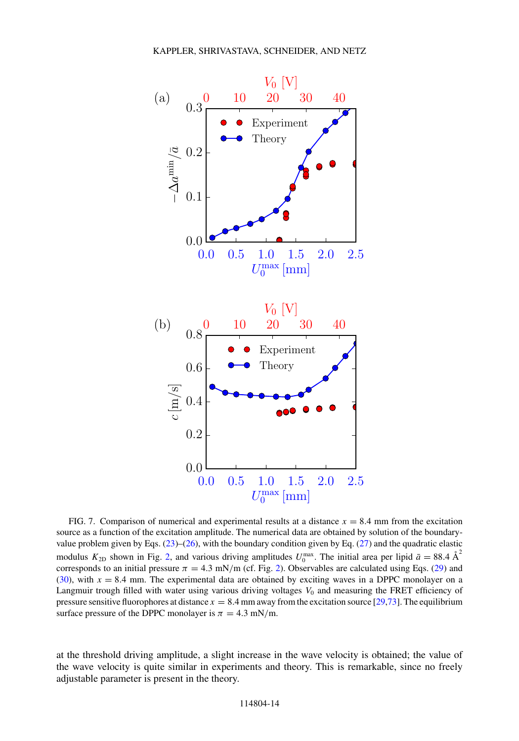<span id="page-13-0"></span>

FIG. 7. Comparison of numerical and experimental results at a distance  $x = 8.4$  mm from the excitation source as a function of the excitation amplitude. The numerical data are obtained by solution of the boundaryvalue problem given by Eqs. [\(23\)](#page-7-0)–[\(26\)](#page-7-0), with the boundary condition given by Eq. [\(27\)](#page-8-0) and the quadratic elastic modulus  $K_{2D}$  shown in Fig. [2,](#page-6-0) and various driving amplitudes  $U_0^{\max}$ . The initial area per lipid  $\bar{a} = 88.4 \text{ Å}^2$ corresponds to an initial pressure  $\pi = 4.3$  mN/m (cf. Fig. [2\)](#page-6-0). Observables are calculated using Eqs. [\(29\)](#page-9-0) and  $(30)$ , with  $x = 8.4$  mm. The experimental data are obtained by exciting waves in a DPPC monolayer on a Langmuir trough filled with water using various driving voltages  $V_0$  and measuring the FRET efficiency of pressure sensitive fluorophores at distance  $x = 8.4$  mm away from the excitation source [\[29](#page-15-0)[,73\]](#page-17-0). The equilibrium surface pressure of the DPPC monolayer is  $\pi = 4.3$  mN/m.

at the threshold driving amplitude, a slight increase in the wave velocity is obtained; the value of the wave velocity is quite similar in experiments and theory. This is remarkable, since no freely adjustable parameter is present in the theory.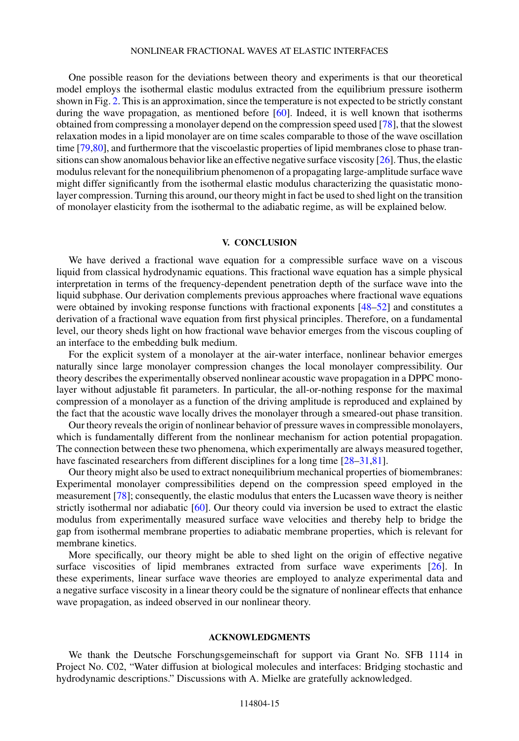One possible reason for the deviations between theory and experiments is that our theoretical model employs the isothermal elastic modulus extracted from the equilibrium pressure isotherm shown in Fig. [2.](#page-6-0) This is an approximation, since the temperature is not expected to be strictly constant during the wave propagation, as mentioned before [\[60\]](#page-17-0). Indeed, it is well known that isotherms obtained from compressing a monolayer depend on the compression speed used [\[78\]](#page-17-0), that the slowest relaxation modes in a lipid monolayer are on time scales comparable to those of the wave oscillation time [\[79,80\]](#page-17-0), and furthermore that the viscoelastic properties of lipid membranes close to phase transitions can show anomalous behavior like an effective negative surface viscosity [\[26\]](#page-15-0). Thus, the elastic modulus relevant for the nonequilibrium phenomenon of a propagating large-amplitude surface wave might differ significantly from the isothermal elastic modulus characterizing the quasistatic monolayer compression. Turning this around, our theory might in fact be used to shed light on the transition of monolayer elasticity from the isothermal to the adiabatic regime, as will be explained below.

### **V. CONCLUSION**

We have derived a fractional wave equation for a compressible surface wave on a viscous liquid from classical hydrodynamic equations. This fractional wave equation has a simple physical interpretation in terms of the frequency-dependent penetration depth of the surface wave into the liquid subphase. Our derivation complements previous approaches where fractional wave equations were obtained by invoking response functions with fractional exponents [\[48–52\]](#page-16-0) and constitutes a derivation of a fractional wave equation from first physical principles. Therefore, on a fundamental level, our theory sheds light on how fractional wave behavior emerges from the viscous coupling of an interface to the embedding bulk medium.

For the explicit system of a monolayer at the air-water interface, nonlinear behavior emerges naturally since large monolayer compression changes the local monolayer compressibility. Our theory describes the experimentally observed nonlinear acoustic wave propagation in a DPPC monolayer without adjustable fit parameters. In particular, the all-or-nothing response for the maximal compression of a monolayer as a function of the driving amplitude is reproduced and explained by the fact that the acoustic wave locally drives the monolayer through a smeared-out phase transition.

Our theory reveals the origin of nonlinear behavior of pressure waves in compressible monolayers, which is fundamentally different from the nonlinear mechanism for action potential propagation. The connection between these two phenomena, which experimentally are always measured together, have fascinated researchers from different disciplines for a long time [\[28–31](#page-15-0)[,81\]](#page-17-0).

Our theory might also be used to extract nonequilibrium mechanical properties of biomembranes: Experimental monolayer compressibilities depend on the compression speed employed in the measurement [\[78\]](#page-17-0); consequently, the elastic modulus that enters the Lucassen wave theory is neither strictly isothermal nor adiabatic [\[60\]](#page-17-0). Our theory could via inversion be used to extract the elastic modulus from experimentally measured surface wave velocities and thereby help to bridge the gap from isothermal membrane properties to adiabatic membrane properties, which is relevant for membrane kinetics.

More specifically, our theory might be able to shed light on the origin of effective negative surface viscosities of lipid membranes extracted from surface wave experiments [\[26\]](#page-15-0). In these experiments, linear surface wave theories are employed to analyze experimental data and a negative surface viscosity in a linear theory could be the signature of nonlinear effects that enhance wave propagation, as indeed observed in our nonlinear theory.

# **ACKNOWLEDGMENTS**

We thank the Deutsche Forschungsgemeinschaft for support via Grant No. SFB 1114 in Project No. C02, "Water diffusion at biological molecules and interfaces: Bridging stochastic and hydrodynamic descriptions." Discussions with A. Mielke are gratefully acknowledged.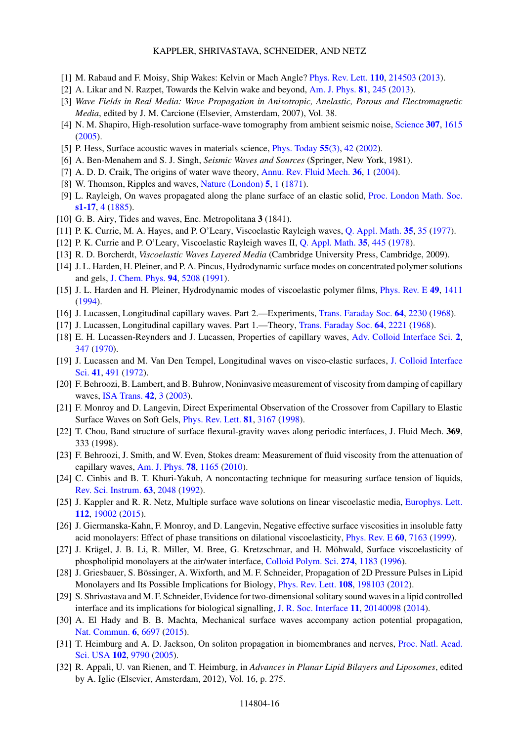### KAPPLER, SHRIVASTAVA, SCHNEIDER, AND NETZ

- <span id="page-15-0"></span>[1] M. Rabaud and F. Moisy, Ship Wakes: Kelvin or Mach Angle? [Phys. Rev. Lett.](https://doi.org/10.1103/PhysRevLett.110.214503) **[110](https://doi.org/10.1103/PhysRevLett.110.214503)**, [214503](https://doi.org/10.1103/PhysRevLett.110.214503) [\(2013\)](https://doi.org/10.1103/PhysRevLett.110.214503).
- [2] A. Likar and N. Razpet, Towards the Kelvin wake and beyond, [Am. J. Phys.](https://doi.org/10.1119/1.4793510) **[81](https://doi.org/10.1119/1.4793510)**, [245](https://doi.org/10.1119/1.4793510) [\(2013\)](https://doi.org/10.1119/1.4793510).
- [3] *Wave Fields in Real Media: Wave Propagation in Anisotropic, Anelastic, Porous and Electromagnetic Media*, edited by J. M. Carcione (Elsevier, Amsterdam, 2007), Vol. 38.
- [4] N. M. Shapiro, High-resolution surface-wave tomography from ambient seismic noise, [Science](https://doi.org/10.1126/science.1108339) **[307](https://doi.org/10.1126/science.1108339)**, [1615](https://doi.org/10.1126/science.1108339) [\(2005\)](https://doi.org/10.1126/science.1108339).
- [5] P. Hess, Surface acoustic waves in materials science, [Phys. Today](https://doi.org/10.1063/1.1472393) **[55](https://doi.org/10.1063/1.1472393)**[\(3\),](https://doi.org/10.1063/1.1472393) [42](https://doi.org/10.1063/1.1472393) [\(2002\)](https://doi.org/10.1063/1.1472393).
- [6] A. Ben-Menahem and S. J. Singh, *Seismic Waves and Sources* (Springer, New York, 1981).
- [7] A. D. D. Craik, The origins of water wave theory, [Annu. Rev. Fluid Mech.](https://doi.org/10.1146/annurev.fluid.36.050802.122118) **[36](https://doi.org/10.1146/annurev.fluid.36.050802.122118)**, [1](https://doi.org/10.1146/annurev.fluid.36.050802.122118) [\(2004\)](https://doi.org/10.1146/annurev.fluid.36.050802.122118).
- [8] W. Thomson, Ripples and waves, [Nature \(London\)](https://doi.org/10.1038/005001a0) **[5](https://doi.org/10.1038/005001a0)**, [1](https://doi.org/10.1038/005001a0) [\(1871\)](https://doi.org/10.1038/005001a0).
- [9] L. Rayleigh, On waves propagated along the plane surface of an elastic solid, [Proc. London Math. Soc.](https://doi.org/10.1112/plms/s1-17.1.4) **[s1-17](https://doi.org/10.1112/plms/s1-17.1.4)**, [4](https://doi.org/10.1112/plms/s1-17.1.4) [\(1885\)](https://doi.org/10.1112/plms/s1-17.1.4).
- [10] G. B. Airy, Tides and waves, Enc. Metropolitana **3** (1841).
- [11] P. K. Currie, M. A. Hayes, and P. O'Leary, Viscoelastic Rayleigh waves, [Q. Appl. Math.](https://doi.org/10.1090/qam/99648) **[35](https://doi.org/10.1090/qam/99648)**, [35](https://doi.org/10.1090/qam/99648) [\(1977\)](https://doi.org/10.1090/qam/99648).
- [12] P. K. Currie and P. O'Leary, Viscoelastic Rayleigh waves II, [Q. Appl. Math.](https://doi.org/10.1090/qam/99642) **[35](https://doi.org/10.1090/qam/99642)**, [445](https://doi.org/10.1090/qam/99642) [\(1978\)](https://doi.org/10.1090/qam/99642).
- [13] R. D. Borcherdt, *Viscoelastic Waves Layered Media* (Cambridge University Press, Cambridge, 2009).
- [14] J. L. Harden, H. Pleiner, and P. A. Pincus, Hydrodynamic surface modes on concentrated polymer solutions and gels, [J. Chem. Phys.](https://doi.org/10.1063/1.460525) **[94](https://doi.org/10.1063/1.460525)**, [5208](https://doi.org/10.1063/1.460525) [\(1991\)](https://doi.org/10.1063/1.460525).
- [15] J. L. Harden and H. Pleiner, Hydrodynamic modes of viscoelastic polymer films, [Phys. Rev. E](https://doi.org/10.1103/PhysRevE.49.1411) **[49](https://doi.org/10.1103/PhysRevE.49.1411)**, [1411](https://doi.org/10.1103/PhysRevE.49.1411) [\(1994\)](https://doi.org/10.1103/PhysRevE.49.1411).
- [16] J. Lucassen, Longitudinal capillary waves. Part 2.—Experiments, [Trans. Faraday Soc.](https://doi.org/10.1039/TF9686402230) **[64](https://doi.org/10.1039/TF9686402230)**, [2230](https://doi.org/10.1039/TF9686402230) [\(1968\)](https://doi.org/10.1039/TF9686402230).
- [17] J. Lucassen, Longitudinal capillary waves. Part 1.—Theory, [Trans. Faraday Soc.](https://doi.org/10.1039/TF9686402221) **[64](https://doi.org/10.1039/TF9686402221)**, [2221](https://doi.org/10.1039/TF9686402221) [\(1968\)](https://doi.org/10.1039/TF9686402221).
- [18] E. H. Lucassen-Reynders and J. Lucassen, Properties of capillary waves, [Adv. Colloid Interface Sci.](https://doi.org/10.1016/0001-8686(70)80001-X) **[2](https://doi.org/10.1016/0001-8686(70)80001-X)**, [347](https://doi.org/10.1016/0001-8686(70)80001-X) [\(1970\)](https://doi.org/10.1016/0001-8686(70)80001-X).
- [19] [J. Lucassen and M. Van Den Tempel, Longitudinal waves on visco-elastic surfaces,](https://doi.org/10.1016/0021-9797(72)90373-6) J. Colloid Interface Sci. **[41](https://doi.org/10.1016/0021-9797(72)90373-6)**, [491](https://doi.org/10.1016/0021-9797(72)90373-6) [\(1972\)](https://doi.org/10.1016/0021-9797(72)90373-6).
- [20] F. Behroozi, B. Lambert, and B. Buhrow, Noninvasive measurement of viscosity from damping of capillary waves, [ISA Trans.](https://doi.org/10.1016/S0019-0578(07)60108-6) **[42](https://doi.org/10.1016/S0019-0578(07)60108-6)**, [3](https://doi.org/10.1016/S0019-0578(07)60108-6) [\(2003\)](https://doi.org/10.1016/S0019-0578(07)60108-6).
- [21] F. Monroy and D. Langevin, Direct Experimental Observation of the Crossover from Capillary to Elastic Surface Waves on Soft Gels, [Phys. Rev. Lett.](https://doi.org/10.1103/PhysRevLett.81.3167) **[81](https://doi.org/10.1103/PhysRevLett.81.3167)**, [3167](https://doi.org/10.1103/PhysRevLett.81.3167) [\(1998\)](https://doi.org/10.1103/PhysRevLett.81.3167).
- [22] T. Chou, Band structure of surface flexural-gravity waves along periodic interfaces, J. Fluid Mech. **369**, 333 (1998).
- [23] F. Behroozi, J. Smith, and W. Even, Stokes dream: Measurement of fluid viscosity from the attenuation of capillary waves, [Am. J. Phys.](https://doi.org/10.1119/1.3467887) **[78](https://doi.org/10.1119/1.3467887)**, [1165](https://doi.org/10.1119/1.3467887) [\(2010\)](https://doi.org/10.1119/1.3467887).
- [24] C. Cinbis and B. T. Khuri-Yakub, A noncontacting technique for measuring surface tension of liquids, [Rev. Sci. Instrum.](https://doi.org/10.1063/1.1143164) **[63](https://doi.org/10.1063/1.1143164)**, [2048](https://doi.org/10.1063/1.1143164) [\(1992\)](https://doi.org/10.1063/1.1143164).
- [25] J. Kappler and R. R. Netz, Multiple surface wave solutions on linear viscoelastic media, [Europhys. Lett.](https://doi.org/10.1209/0295-5075/112/19002) **[112](https://doi.org/10.1209/0295-5075/112/19002)**, [19002](https://doi.org/10.1209/0295-5075/112/19002) [\(2015\)](https://doi.org/10.1209/0295-5075/112/19002).
- [26] J. Giermanska-Kahn, F. Monroy, and D. Langevin, Negative effective surface viscosities in insoluble fatty acid monolayers: Effect of phase transitions on dilational viscoelasticity, [Phys. Rev. E](https://doi.org/10.1103/PhysRevE.60.7163) **[60](https://doi.org/10.1103/PhysRevE.60.7163)**, [7163](https://doi.org/10.1103/PhysRevE.60.7163) [\(1999\)](https://doi.org/10.1103/PhysRevE.60.7163).
- [27] J. Krägel, J. B. Li, R. Miller, M. Bree, G. Kretzschmar, and H. Möhwald, Surface viscoelasticity of phospholipid monolayers at the air/water interface, [Colloid Polym. Sci.](https://doi.org/10.1007/BF00655690) **[274](https://doi.org/10.1007/BF00655690)**, [1183](https://doi.org/10.1007/BF00655690) [\(1996\)](https://doi.org/10.1007/BF00655690).
- [28] J. Griesbauer, S. Bössinger, A. Wixforth, and M. F. Schneider, Propagation of 2D Pressure Pulses in Lipid Monolayers and Its Possible Implications for Biology, [Phys. Rev. Lett.](https://doi.org/10.1103/PhysRevLett.108.198103) **[108](https://doi.org/10.1103/PhysRevLett.108.198103)**, [198103](https://doi.org/10.1103/PhysRevLett.108.198103) [\(2012\)](https://doi.org/10.1103/PhysRevLett.108.198103).
- [29] S. Shrivastava and M. F. Schneider, Evidence for two-dimensional solitary sound waves in a lipid controlled interface and its implications for biological signalling, [J. R. Soc. Interface](https://doi.org/10.1098/rsif.2014.0098) **[11](https://doi.org/10.1098/rsif.2014.0098)**, [20140098](https://doi.org/10.1098/rsif.2014.0098) [\(2014\)](https://doi.org/10.1098/rsif.2014.0098).
- [30] A. El Hady and B. B. Machta, Mechanical surface waves accompany action potential propagation, [Nat. Commun.](https://doi.org/10.1038/ncomms7697) **[6](https://doi.org/10.1038/ncomms7697)**, [6697](https://doi.org/10.1038/ncomms7697) [\(2015\)](https://doi.org/10.1038/ncomms7697).
- [31] [T. Heimburg and A. D. Jackson, On soliton propagation in biomembranes and nerves,](https://doi.org/10.1073/pnas.0503823102) Proc. Natl. Acad. Sci. USA **[102](https://doi.org/10.1073/pnas.0503823102)**, [9790](https://doi.org/10.1073/pnas.0503823102) [\(2005\)](https://doi.org/10.1073/pnas.0503823102).
- [32] R. Appali, U. van Rienen, and T. Heimburg, in *Advances in Planar Lipid Bilayers and Liposomes*, edited by A. Iglic (Elsevier, Amsterdam, 2012), Vol. 16, p. 275.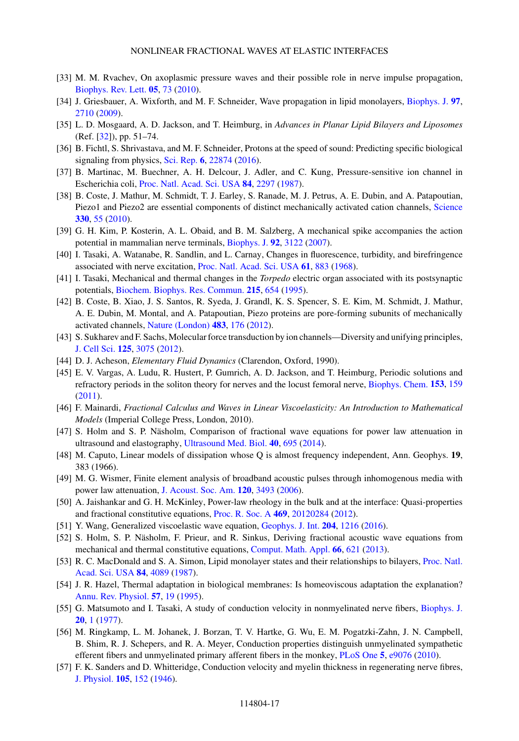- <span id="page-16-0"></span>[33] M. M. Rvachev, On axoplasmic pressure waves and their possible role in nerve impulse propagation, [Biophys. Rev. Lett.](https://doi.org/10.1142/S1793048010001147) **[05](https://doi.org/10.1142/S1793048010001147)**, [73](https://doi.org/10.1142/S1793048010001147) [\(2010\)](https://doi.org/10.1142/S1793048010001147).
- [34] J. Griesbauer, A. Wixforth, and M. F. Schneider, Wave propagation in lipid monolayers, [Biophys. J.](https://doi.org/10.1016/j.bpj.2009.07.049) **[97](https://doi.org/10.1016/j.bpj.2009.07.049)**, [2710](https://doi.org/10.1016/j.bpj.2009.07.049) [\(2009\)](https://doi.org/10.1016/j.bpj.2009.07.049).
- [35] L. D. Mosgaard, A. D. Jackson, and T. Heimburg, in *Advances in Planar Lipid Bilayers and Liposomes* (Ref. [\[32\]](#page-15-0)), pp. 51–74.
- [36] B. Fichtl, S. Shrivastava, and M. F. Schneider, Protons at the speed of sound: Predicting specific biological signaling from physics, [Sci. Rep.](https://doi.org/10.1038/srep22874) **[6](https://doi.org/10.1038/srep22874)**, [22874](https://doi.org/10.1038/srep22874) [\(2016\)](https://doi.org/10.1038/srep22874).
- [37] B. Martinac, M. Buechner, A. H. Delcour, J. Adler, and C. Kung, Pressure-sensitive ion channel in Escherichia coli, [Proc. Natl. Acad. Sci. USA](https://doi.org/10.1073/pnas.84.8.2297) **[84](https://doi.org/10.1073/pnas.84.8.2297)**, [2297](https://doi.org/10.1073/pnas.84.8.2297) [\(1987\)](https://doi.org/10.1073/pnas.84.8.2297).
- [38] B. Coste, J. Mathur, M. Schmidt, T. J. Earley, S. Ranade, M. J. Petrus, A. E. Dubin, and A. Patapoutian, Piezo1 and Piezo2 are essential components of distinct mechanically activated cation channels, [Science](https://doi.org/10.1126/science.1193270) **[330](https://doi.org/10.1126/science.1193270)**, [55](https://doi.org/10.1126/science.1193270) [\(2010\)](https://doi.org/10.1126/science.1193270).
- [39] G. H. Kim, P. Kosterin, A. L. Obaid, and B. M. Salzberg, A mechanical spike accompanies the action potential in mammalian nerve terminals, [Biophys. J.](https://doi.org/10.1529/biophysj.106.103754) **[92](https://doi.org/10.1529/biophysj.106.103754)**, [3122](https://doi.org/10.1529/biophysj.106.103754) [\(2007\)](https://doi.org/10.1529/biophysj.106.103754).
- [40] I. Tasaki, A. Watanabe, R. Sandlin, and L. Carnay, Changes in fluorescence, turbidity, and birefringence associated with nerve excitation, [Proc. Natl. Acad. Sci. USA](https://doi.org/10.1073/pnas.61.3.883) **[61](https://doi.org/10.1073/pnas.61.3.883)**, [883](https://doi.org/10.1073/pnas.61.3.883) [\(1968\)](https://doi.org/10.1073/pnas.61.3.883).
- [41] I. Tasaki, Mechanical and thermal changes in the *Torpedo* electric organ associated with its postsynaptic potentials, [Biochem. Biophys. Res. Commun.](https://doi.org/10.1006/bbrc.1995.2514) **[215](https://doi.org/10.1006/bbrc.1995.2514)**, [654](https://doi.org/10.1006/bbrc.1995.2514) [\(1995\)](https://doi.org/10.1006/bbrc.1995.2514).
- [42] B. Coste, B. Xiao, J. S. Santos, R. Syeda, J. Grandl, K. S. Spencer, S. E. Kim, M. Schmidt, J. Mathur, A. E. Dubin, M. Montal, and A. Patapoutian, Piezo proteins are pore-forming subunits of mechanically activated channels, [Nature \(London\)](https://doi.org/10.1038/nature10812) **[483](https://doi.org/10.1038/nature10812)**, [176](https://doi.org/10.1038/nature10812) [\(2012\)](https://doi.org/10.1038/nature10812).
- [43] S. Sukharev and F. Sachs, Molecular force transduction by ion channels—Diversity and unifying principles, [J. Cell Sci.](https://doi.org/10.1242/jcs.092353) **[125](https://doi.org/10.1242/jcs.092353)**, [3075](https://doi.org/10.1242/jcs.092353) [\(2012\)](https://doi.org/10.1242/jcs.092353).
- [44] D. J. Acheson, *Elementary Fluid Dynamics* (Clarendon, Oxford, 1990).
- [45] E. V. Vargas, A. Ludu, R. Hustert, P. Gumrich, A. D. Jackson, and T. Heimburg, Periodic solutions and refractory periods in the soliton theory for nerves and the locust femoral nerve, [Biophys. Chem.](https://doi.org/10.1016/j.bpc.2010.11.001) **[153](https://doi.org/10.1016/j.bpc.2010.11.001)**, [159](https://doi.org/10.1016/j.bpc.2010.11.001) [\(2011\)](https://doi.org/10.1016/j.bpc.2010.11.001).
- [46] F. Mainardi, *Fractional Calculus and Waves in Linear Viscoelasticity: An Introduction to Mathematical Models* (Imperial College Press, London, 2010).
- [47] S. Holm and S. P. Näsholm, Comparison of fractional wave equations for power law attenuation in ultrasound and elastography, [Ultrasound Med. Biol.](https://doi.org/10.1016/j.ultrasmedbio.2013.09.033) **[40](https://doi.org/10.1016/j.ultrasmedbio.2013.09.033)**, [695](https://doi.org/10.1016/j.ultrasmedbio.2013.09.033) [\(2014\)](https://doi.org/10.1016/j.ultrasmedbio.2013.09.033).
- [48] M. Caputo, Linear models of dissipation whose Q is almost frequency independent, Ann. Geophys. **19**, 383 (1966).
- [49] M. G. Wismer, Finite element analysis of broadband acoustic pulses through inhomogenous media with power law attenuation, [J. Acoust. Soc. Am.](https://doi.org/10.1121/1.2354032) **[120](https://doi.org/10.1121/1.2354032)**, [3493](https://doi.org/10.1121/1.2354032) [\(2006\)](https://doi.org/10.1121/1.2354032).
- [50] A. Jaishankar and G. H. McKinley, Power-law rheology in the bulk and at the interface: Quasi-properties and fractional constitutive equations, [Proc. R. Soc. A](https://doi.org/10.1098/rspa.2012.0284) **[469](https://doi.org/10.1098/rspa.2012.0284)**, [20120284](https://doi.org/10.1098/rspa.2012.0284) [\(2012\)](https://doi.org/10.1098/rspa.2012.0284).
- [51] Y. Wang, Generalized viscoelastic wave equation, [Geophys. J. Int.](https://doi.org/10.1093/gji/ggv514) **[204](https://doi.org/10.1093/gji/ggv514)**, [1216](https://doi.org/10.1093/gji/ggv514) [\(2016\)](https://doi.org/10.1093/gji/ggv514).
- [52] S. Holm, S. P. Näsholm, F. Prieur, and R. Sinkus, Deriving fractional acoustic wave equations from mechanical and thermal constitutive equations, [Comput. Math. Appl.](https://doi.org/10.1016/j.camwa.2013.02.024) **[66](https://doi.org/10.1016/j.camwa.2013.02.024)**, [621](https://doi.org/10.1016/j.camwa.2013.02.024) [\(2013\)](https://doi.org/10.1016/j.camwa.2013.02.024).
- [53] [R. C. MacDonald and S. A. Simon, Lipid monolayer states and their relationships to bilayers,](https://doi.org/10.1073/pnas.84.12.4089) Proc. Natl. Acad. Sci. USA **[84](https://doi.org/10.1073/pnas.84.12.4089)**, [4089](https://doi.org/10.1073/pnas.84.12.4089) [\(1987\)](https://doi.org/10.1073/pnas.84.12.4089).
- [54] J. R. Hazel, Thermal adaptation in biological membranes: Is homeoviscous adaptation the explanation? [Annu. Rev. Physiol.](https://doi.org/10.1146/annurev.ph.57.030195.000315) **[57](https://doi.org/10.1146/annurev.ph.57.030195.000315)**, [19](https://doi.org/10.1146/annurev.ph.57.030195.000315) [\(1995\)](https://doi.org/10.1146/annurev.ph.57.030195.000315).
- [55] G. Matsumoto and I. Tasaki, A study of conduction velocity in nonmyelinated nerve fibers, [Biophys. J.](https://doi.org/10.1016/S0006-3495(77)85532-X) **[20](https://doi.org/10.1016/S0006-3495(77)85532-X)**, [1](https://doi.org/10.1016/S0006-3495(77)85532-X) [\(1977\)](https://doi.org/10.1016/S0006-3495(77)85532-X).
- [56] M. Ringkamp, L. M. Johanek, J. Borzan, T. V. Hartke, G. Wu, E. M. Pogatzki-Zahn, J. N. Campbell, B. Shim, R. J. Schepers, and R. A. Meyer, Conduction properties distinguish unmyelinated sympathetic efferent fibers and unmyelinated primary afferent fibers in the monkey, [PLoS One](https://doi.org/10.1371/journal.pone.0009076) **[5](https://doi.org/10.1371/journal.pone.0009076)**, [e9076](https://doi.org/10.1371/journal.pone.0009076) [\(2010\)](https://doi.org/10.1371/journal.pone.0009076).
- [57] F. K. Sanders and D. Whitteridge, Conduction velocity and myelin thickness in regenerating nerve fibres, [J. Physiol.](https://doi.org/10.1113/jphysiol.1946.sp004160) **[105](https://doi.org/10.1113/jphysiol.1946.sp004160)**, [152](https://doi.org/10.1113/jphysiol.1946.sp004160) [\(1946\)](https://doi.org/10.1113/jphysiol.1946.sp004160).